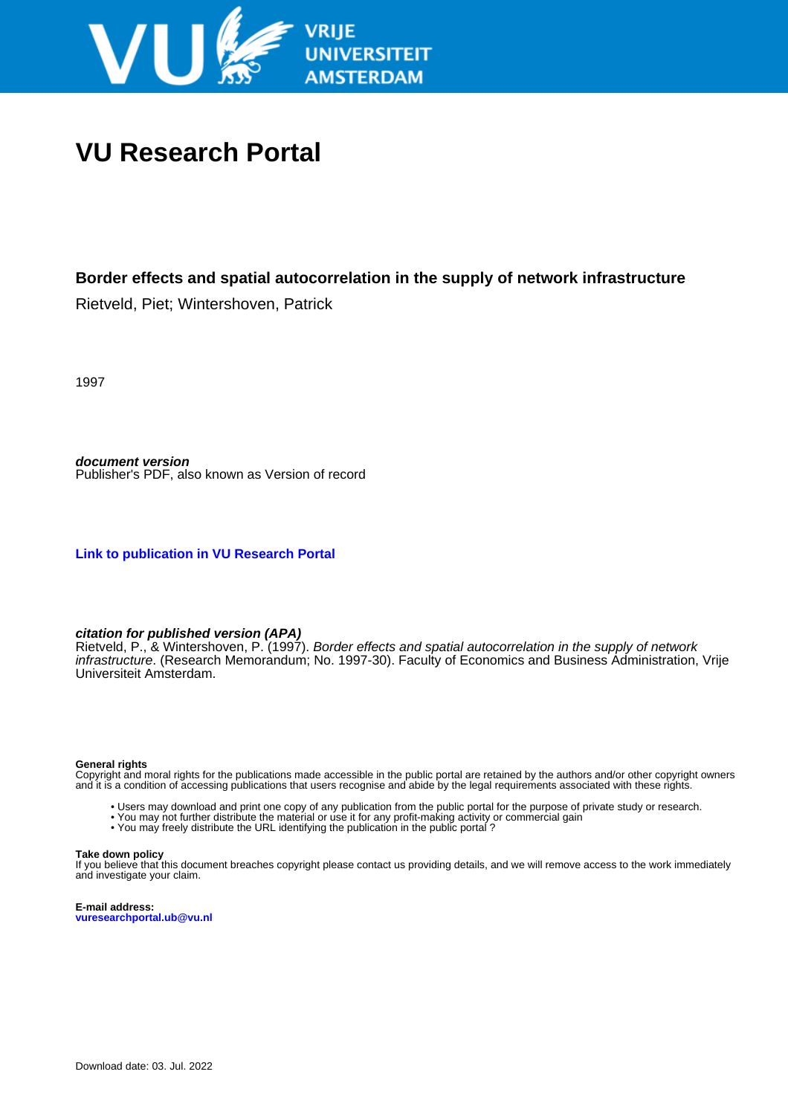

# **VU Research Portal**

## **Border effects and spatial autocorrelation in the supply of network infrastructure**

Rietveld, Piet; Wintershoven, Patrick

1997

**document version** Publisher's PDF, also known as Version of record

**[Link to publication in VU Research Portal](https://research.vu.nl/en/publications/4bc804dc-af42-4a31-96fe-806465539519)**

#### **citation for published version (APA)**

Rietveld, P., & Wintershoven, P. (1997). Border effects and spatial autocorrelation in the supply of network infrastructure. (Research Memorandum; No. 1997-30). Faculty of Economics and Business Administration, Vrije Universiteit Amsterdam.

#### **General rights**

Copyright and moral rights for the publications made accessible in the public portal are retained by the authors and/or other copyright owners and it is a condition of accessing publications that users recognise and abide by the legal requirements associated with these rights.

- Users may download and print one copy of any publication from the public portal for the purpose of private study or research.
- You may not further distribute the material or use it for any profit-making activity or commercial gain
- You may freely distribute the URL identifying the publication in the public portal?

#### **Take down policy**

If you believe that this document breaches copyright please contact us providing details, and we will remove access to the work immediately and investigate your claim.

**E-mail address: vuresearchportal.ub@vu.nl**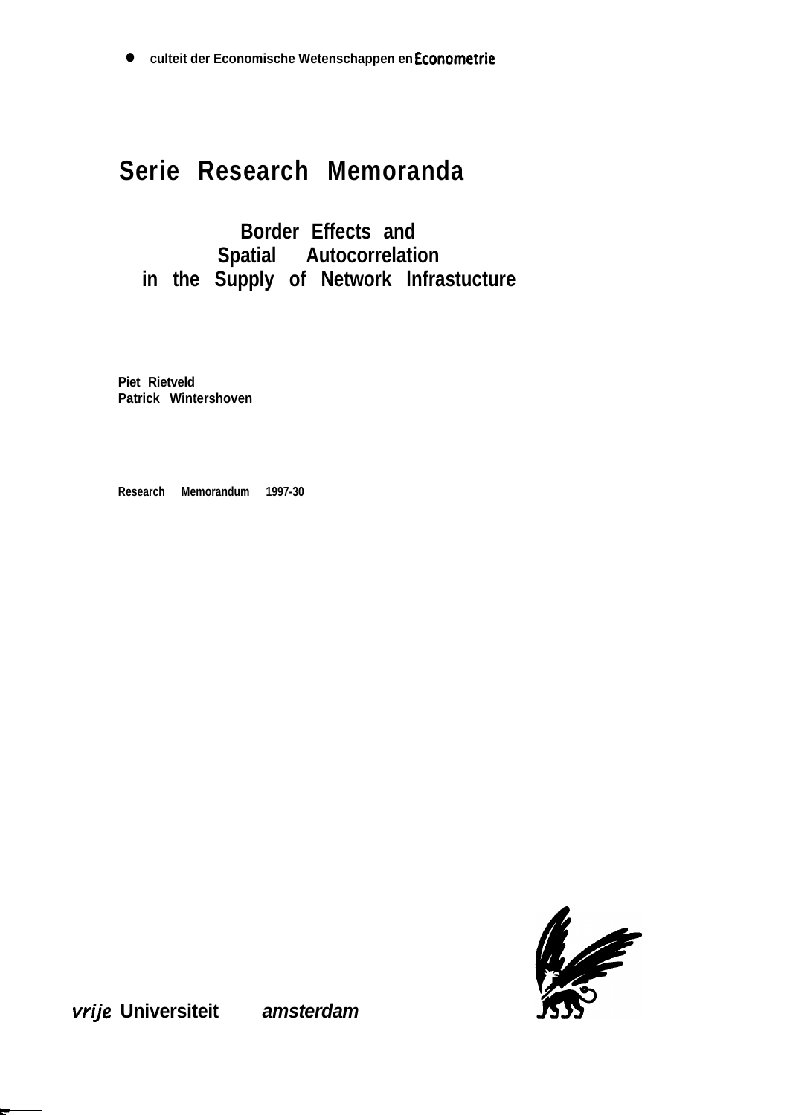# **Serie Research Memoranda**

**Border Effects and Spatial Autocorrelation in the Supply of Network lnfrastucture**

**Piet Rietveld Patrick Wintershoven**

**Research Memorandum 1997-30**



**vrije Universiteit** *amsterdam*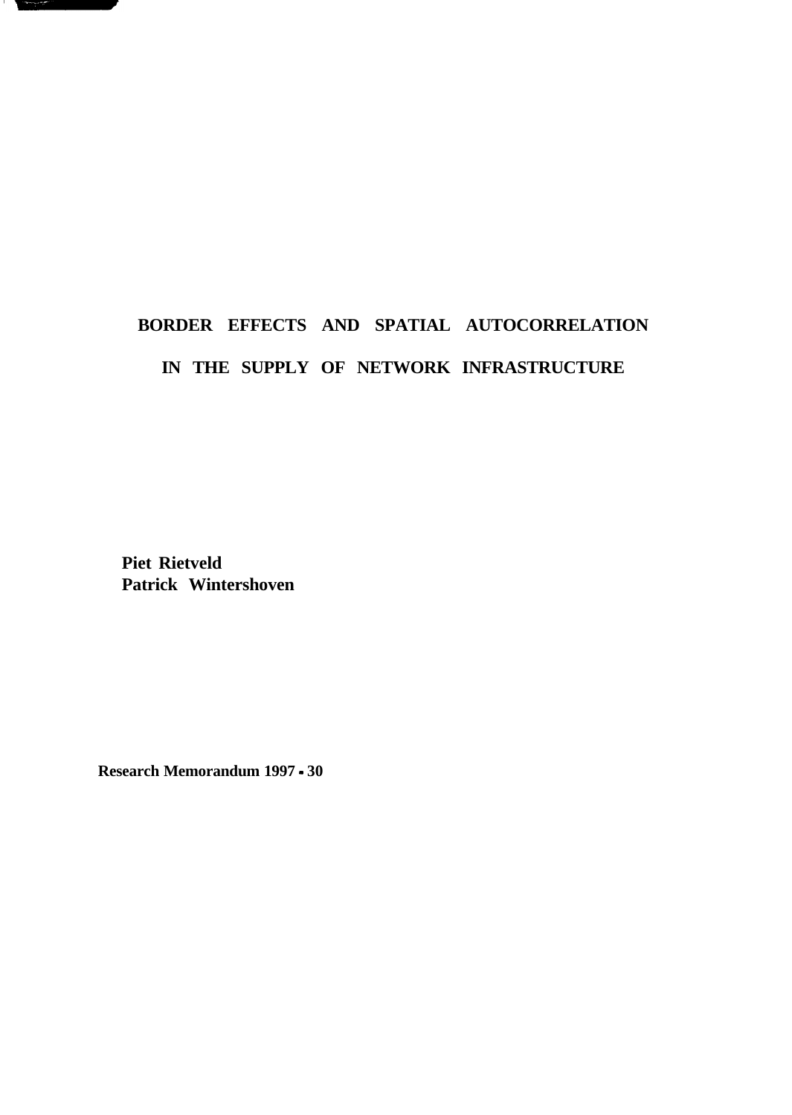# **BORDER EFFECTS AND SPATIAL AUTOCORRELATION IN THE SUPPLY OF NETWORK INFRASTRUCTURE**

**Piet Rietveld Patrick Wintershoven**

**Research Memorandum 1997 - 30**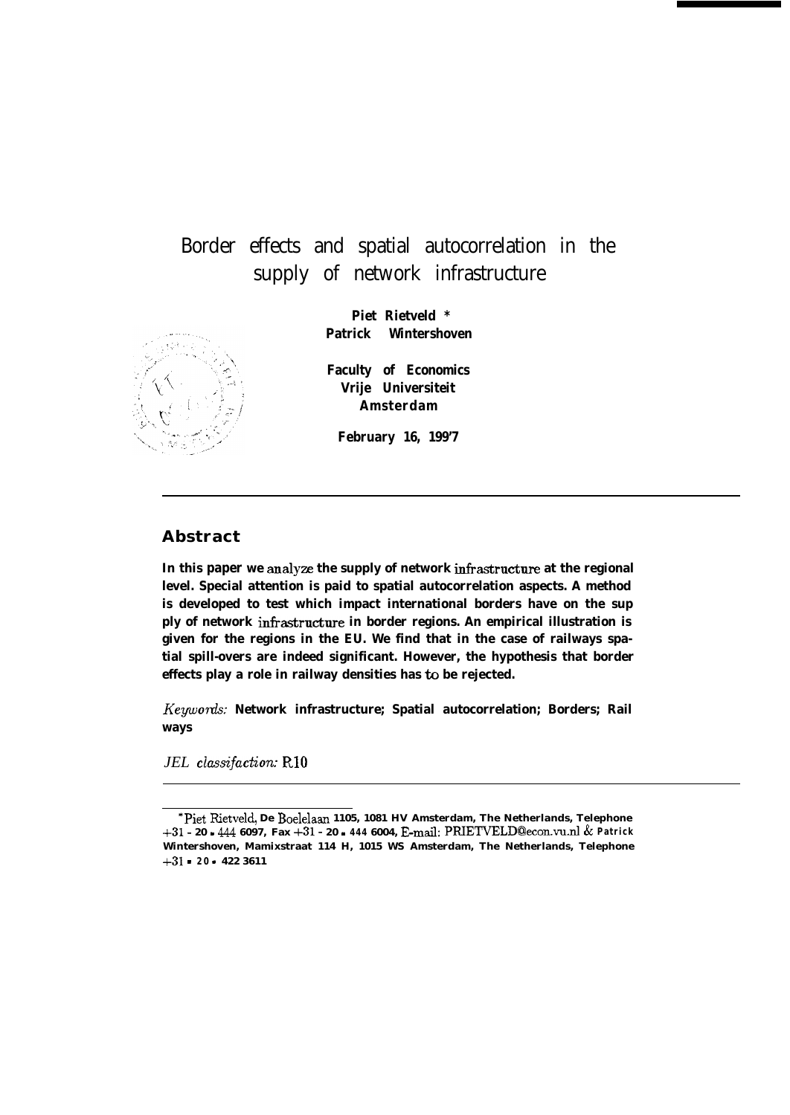# Border effects and spatial autocorrelation in the supply of network infrastructure



**Piet Rietveld \* Patrick Wintershoven**

**Faculty of Economics Vrije Universiteit Amsterdam**

**February 16, 199'7**

## **Abstract**

In this paper we analyze the supply of network infrastructure at the regional **level. Special attention is paid to spatial autocorrelation aspects. A method is developed to test which impact international borders have on the sup** ply of network infrastructure in border regions. An empirical illustration is **given for the regions in the EU. We find that in the case of railways spatial spill-overs are indeed significant. However, the hypothesis that border effects play a role in railway densities has to be rejected.**

**Keywo&: Network infrastructure; Spatial autocorrelation; Borders; Rail ways**

*JEL classifaction:* **RlO**

**<sup>\*</sup>Pi& Rietveld, De Boelelaan 1105, 1081 HV Amsterdam, The Netherlands, Telephone +31- 20 - U-4 6097, Fax +31- 20 - <sup>444</sup> 6004, Email: PFUETVELD@econ.vu.nl & Patrick Wintershoven, Mamixstraat 114 H, 1015 WS Amsterdam, The Netherlands, Telephone ~31 - 2 0 - 422 3611**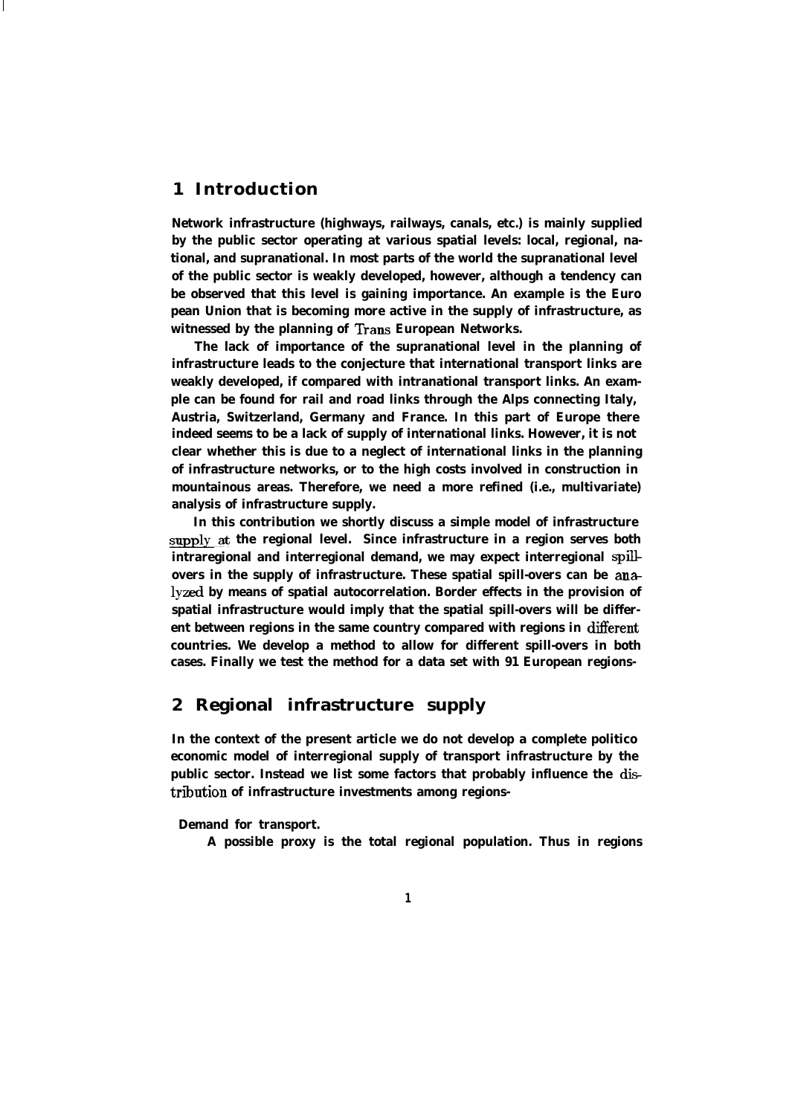## **1 Introduction**

**Network infrastructure (highways, railways, canals, etc.) is mainly supplied by the public sector operating at various spatial levels: local, regional, national, and supranational. In most parts of the world the supranational level of the public sector is weakly developed, however, although a tendency can be observed that this level is gaining importance. An example is the Euro pean Union that is becoming more active in the supply of infrastructure, as witnessed by the planning of Trans European Networks.**

**The lack of importance of the supranational level in the planning of infrastructure leads to the conjecture that international transport links are weakly developed, if compared with intranational transport links. An example can be found for rail and road links through the Alps connecting Italy, Austria, Switzerland, Germany and France. In this part of Europe there indeed seems to be a lack of supply of international links. However, it is not clear whether this is due to a neglect of international links in the planning of infrastructure networks, or to the high costs involved in construction in mountainous areas. Therefore, we need a more refined (i.e., multivariate) analysis of infrastructure supply.**

**In this contribution we shortly discuss a simple model of infrastructure** supply at the regional level. Since infrastructure in a region serves both **intraregional and interregional demand, we may expect interregional spillovers in the supply of infrastructure. These spatial spill-overs can be analyzed by means of spatial autocorrelation. Border effects in the provision of spatial infrastructure would imply that the spatial spill-overs will be different between regions in the same country compared with regions in different countries. We develop a method to allow for different spill-overs in both cases. Finally we test the method for a data set with 91 European regions-**

# **2 Regional infrastructure supply**

**In the context of the present article we do not develop a complete politico economic model of interregional supply of transport infrastructure by the** public sector. Instead we list some factors that probably influence the dis**trbution of infrastructure investments among regions-**

**Demand for transport.**

**A possible proxy is the total regional population. Thus in regions**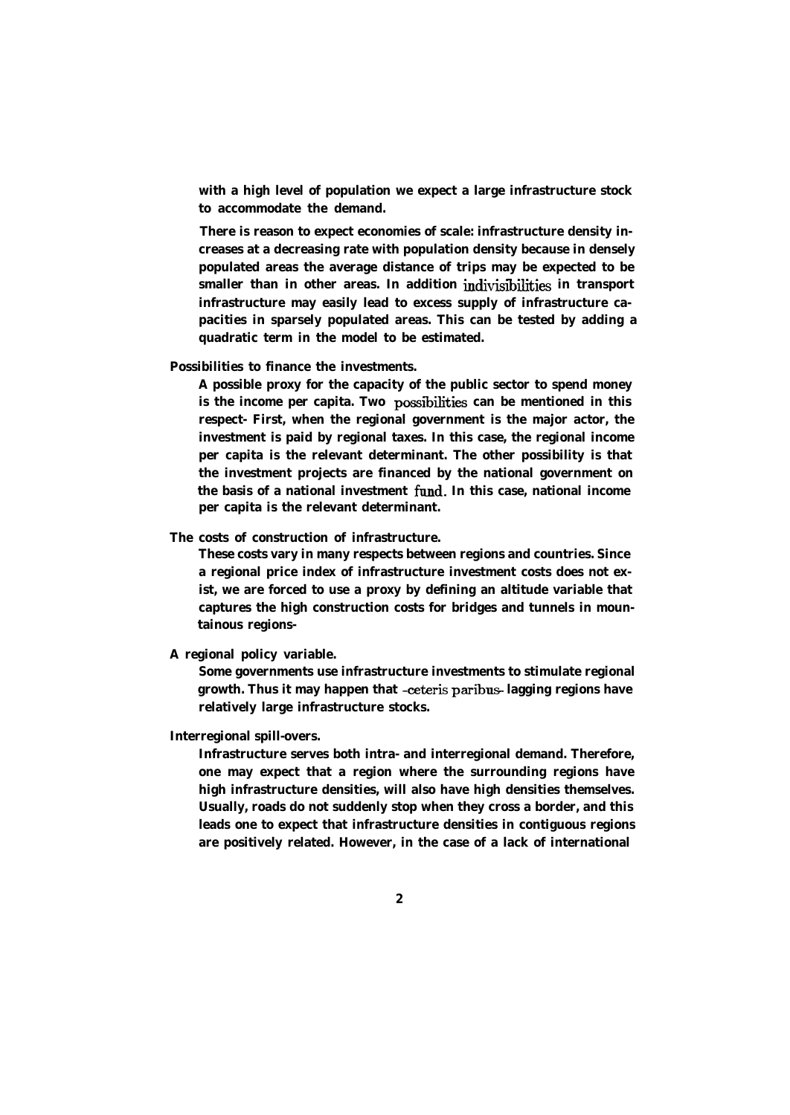**with a high level of population we expect a large infrastructure stock to accommodate the demand.**

**There is reason to expect economies of scale: infrastructure density increases at a decreasing rate with population density because in densely populated areas the average distance of trips may be expected to be smaller than in other areas. In addition indivisrbilities in transport infrastructure may easily lead to excess supply of infrastructure capacities in sparsely populated areas. This can be tested by adding a quadratic term in the model to be estimated.**

**Possibilities to finance the investments.**

**A possible proxy for the capacity of the public sector to spend money is the income per capita. Two possrbilities can be mentioned in this respect- First, when the regional government is the major actor, the investment is paid by regional taxes. In this case, the regional income per capita is the relevant determinant. The other possibility is that the investment projects are financed by the national government on the basis of a national investment fund. In this case, national income per capita is the relevant determinant.**

**The costs of construction of infrastructure.**

**These costs vary in many respects between regions and countries. Since a regional price index of infrastructure investment costs does not exist, we are forced to use a proxy by defining an altitude variable that captures the high construction costs for bridges and tunnels in mountainous regions-**

**A regional policy variable.**

**Some governments use infrastructure investments to stimulate regional growth. Thus it may happen that -ceteris paribus- lagging regions have relatively large infrastructure stocks.**

**Interregional spill-overs.**

**Infrastructure serves both intra- and interregional demand. Therefore, one may expect that a region where the surrounding regions have high infrastructure densities, will also have high densities themselves. Usually, roads do not suddenly stop when they cross a border, and this leads one to expect that infrastructure densities in contiguous regions are positively related. However, in the case of a lack of international**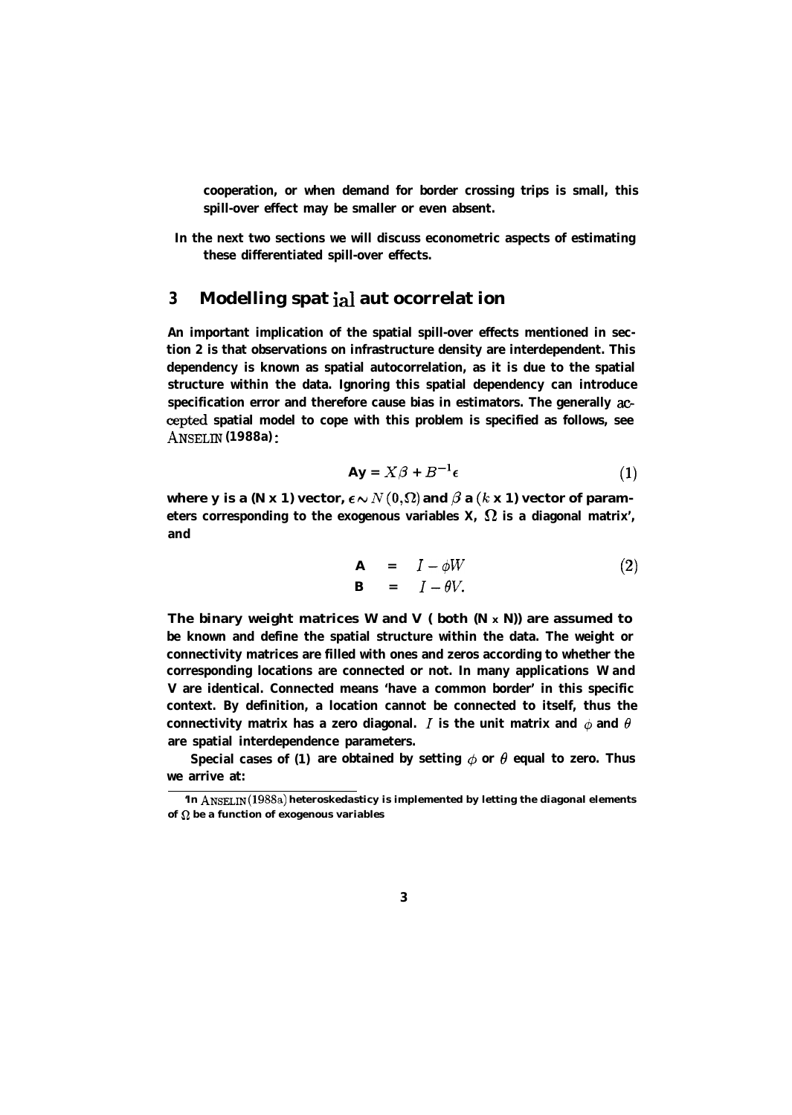**cooperation, or when demand for border crossing trips is small, this spill-over effect may be smaller or even absent.**

**In the next two sections we will discuss econometric aspects of estimating these differentiated spill-over effects.**

#### **3 Modelling spat ial aut ocorrelat ion**

**An important implication of the spatial spill-over effects mentioned in section 2 is that observations on infrastructure density are interdependent. This dependency is known as spatial autocorrelation, as it is due to the spatial structure within the data. Ignoring this spatial dependency can introduce specification error and therefore cause bias in estimators. The generally ao cepted spatial model to cope with this problem is specified as follows, see ANSELI-N (1988a) :**

$$
Ay = X\beta + B^{-1}\epsilon \tag{1}
$$

where y is a (N x 1) vector,  $\epsilon \sim N(0,\Omega)$  and  $\beta$  a (k x 1) vector of parameters corresponding to the exogenous variables  $X$ ,  $\Omega$  is a diagonal matrix', **and**

$$
\mathbf{A} = I - \phi W \tag{2}
$$
\n
$$
\mathbf{B} = I - \theta V.
$$

**The binary weight matrices** *W* **and** *V* **( both (N x N)) are assumed to be known and define the spatial structure within the data. The weight or connectivity matrices are filled with ones and zeros according to whether the corresponding locations are connected or not. In many applications** *W* **and** *V* **are identical. Connected means 'have a common border' in this specific context. By definition, a location cannot be connected to itself, thus the** connectivity matrix has a zero diagonal. I is the unit matrix and  $\phi$  and  $\theta$ **are spatial interdependence parameters.**

Special cases of (1) are obtained by setting  $\phi$  or  $\theta$  equal to zero. Thus **we arrive at:**

**<sup>&#</sup>x27;In ANSELIN (1988a) heteroskedasticy is implemented by letting the diagonal elements of C2 be a function of exogenous variables**

*<sup>3</sup>*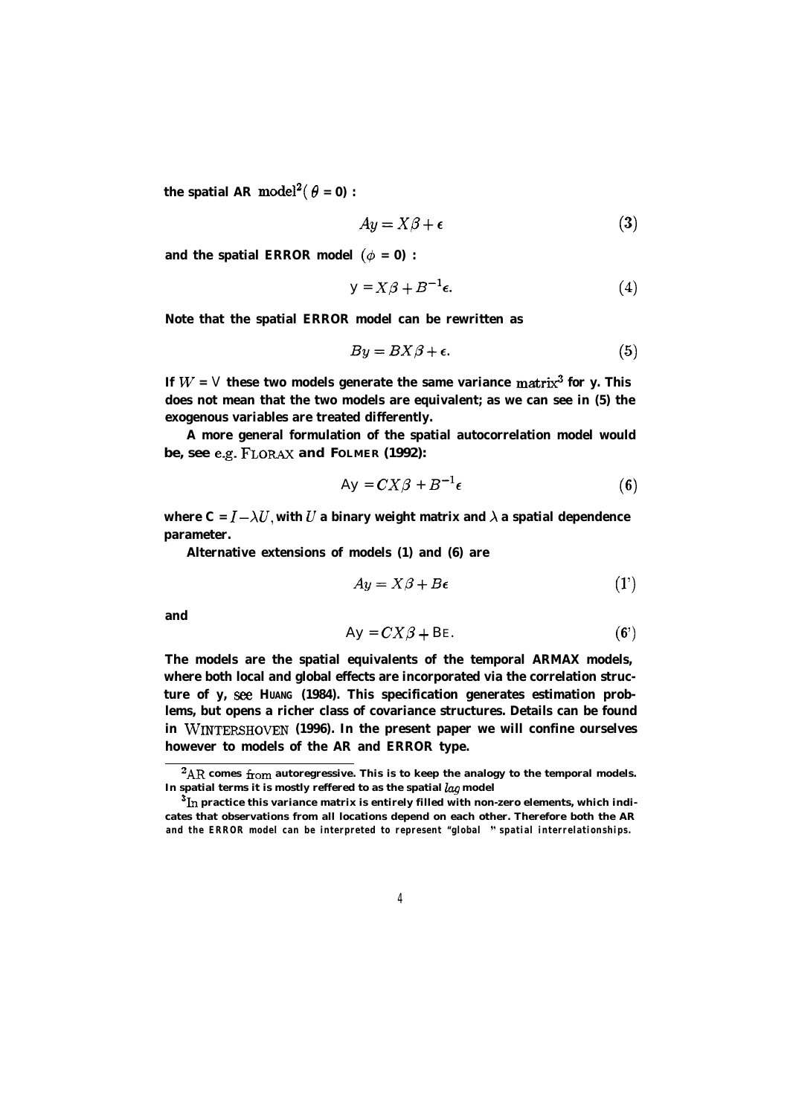**the spatial AR model<sup>2</sup>(** $\theta = 0$ **):** 

$$
Ay = X\beta + \epsilon \tag{3}
$$

and the spatial ERROR model  $(\phi = 0)$ :

$$
y = X\beta + B^{-1}\epsilon. \tag{4}
$$

**Note that the spatial ERROR model can be rewritten as**

$$
By = BX\beta + \epsilon. \tag{5}
$$

If  $W = V$  these two models generate the same variance matrix<sup>3</sup> for y. This **does not mean that the two models are equivalent; as we can see in (5) the exogenous variables are treated differently.**

**A more general formulation of the spatial autocorrelation model would be, see e.g. FLORAX and FOLMER (1992):** 

$$
Ay = CX\beta + B^{-1}\epsilon
$$
 (6)

where  $C = I - \lambda U$ , with U a binary weight matrix and  $\lambda$  a spatial dependence **parameter.**

**Alternative extensions of models (1) and (6) are**

$$
Ay = X\beta + B\epsilon \tag{1'}
$$

**and**

$$
Ay = CX\beta + BE. \tag{6'}
$$

**The models are the spatial equivalents of the temporal ARMAX models, where both local and global effects are incorporated via the correlation structure of y, see HUANG (1984). This specification generates estimation problems, but opens a richer class of covariance structures. Details can be found in WINTEFCSHOVEN (1996). In the present paper we will confine ourselves however to models of the AR and ERROR type.**

 ${}^{2}\text{AR}$  comes  ${\rm \textbf{from}}$  autoregressive. This is to keep the analogy to the temporal models. In spatial terms it is mostly reffered to as the spatial  $laq$  model

**<sup>31</sup>n practice this variance matrix is entirely filled with non-zero elements, which indicates that observations from all locations depend on each other. Therefore both the AR and the ERROR model can be interpreted to represent "global " spatial interrelationships.**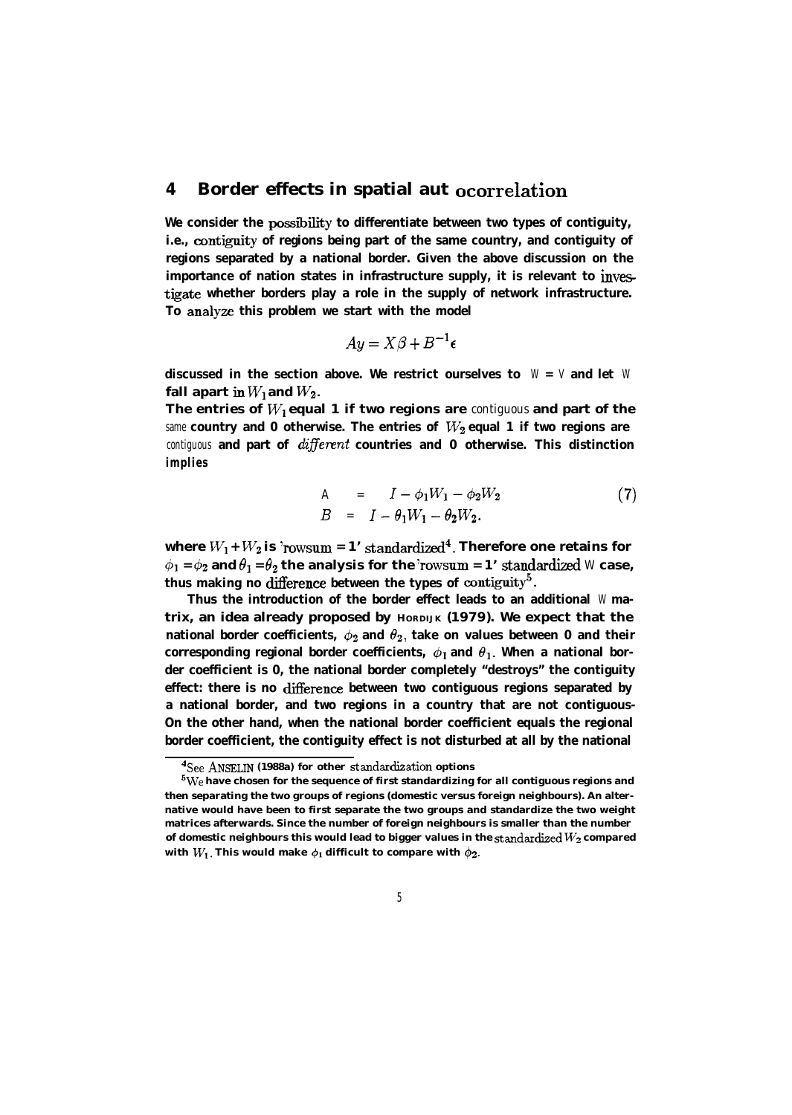#### **4 Border effects in spatial aut ocorrelation**

**We consider the possibility to differentiate between two types of contiguity,** i.e., contiguity of regions being part of the same country, and contiguity of **regions separated by a national border. Given the above discussion on the importance of nation states in infrastructure supply, it is relevant to inves tigate whether borders play a role in the supply of network infrastructure. To analyse this problem we start with the model**

$$
Ay = X\beta + B^{-1}\epsilon
$$

**discussed in the section above. We restrict ourselves to** *W* **=** *V* **and let** *W* **fall apart in**  $W_1$  and  $W_2$ .

The entries of  $W_1$  equal 1 if two regions are *contiguous* and part of the  $same$  country and 0 otherwise. The entries of  $W_2$  equal 1 if two regions are *contiguous* **and part of** *ditffemnt* **countries and 0 otherwise. This distinction implies**

$$
A = I - \phi_1 W_1 - \phi_2 W_2
$$
  
\n
$$
B = I - \theta_1 W_1 - \theta_2 W_2.
$$
\n(7)

where  $W_1$ +  $W_2$  is 'rowsum = 1' standardized<sup>4</sup>. Therefore one retains for  $\phi_1 = \phi_2$  and  $\theta_1 = \theta_2$  the analysis for the 'rowsum = 1' standardized *W* case, thus making no difference between the types of contiguity<sup>5</sup>.

**Thus the introduction of the border effect leads to an additional** *W* **matrix, an idea already proposed by HORDIJK (1979). We expect that the national border coefficients,**  $\phi_2$  **and**  $\theta_2$ **, take on values between 0 and their** corresponding regional border coefficients,  $\phi_1$  and  $\theta_1$ . When a national bor**der coefficient is 0, the national border completely "destroys" the contiguity effect: there is no difference between two contiguous regions separated by a national border, and two regions in a country that are not contiguous-On the other hand, when the national border coefficient equals the regional border coefficient, the contiguity effect is not disturbed at all by the national**

**<sup>4</sup>See ANSELIN (1988a) for other standaxlization options**

**<sup>%</sup>Ve have chosen for the sequence of first standardizing for all contiguous regions and then separating the two groups of regions (domestic versus foreign neighbours). An alternative would have been to first separate the two groups and standardize the two weight matrices afterwards. Since the number of foreign neighbours is smaller than the number of domestic neighbours this would lead to bigger values in the standardized Wz compared** with  $W_1$ . This would make  $\phi_1$  difficult to compare with  $\phi_2$ .

*<sup>5</sup>*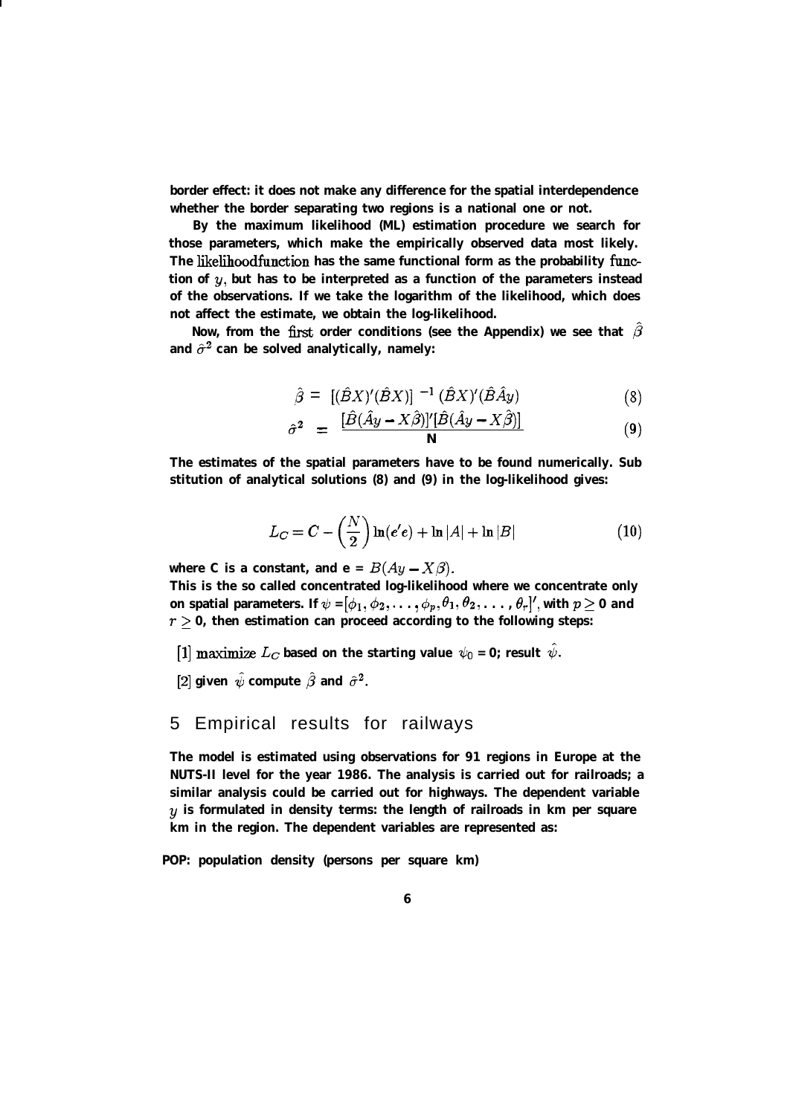**border effect: it does not make any difference for the spatial interdependence whether the border separating two regions is a national one or not.**

**By the maximum likelihood (ML) estimation procedure we search for those parameters, which make the empirically observed data most likely.** The likelihoodfunction has the same functional form as the probability func**tion of y, but has to be interpreted as a function of the parameters instead of the observations. If we take the logarithm of the likelihood, which does not affect the estimate, we obtain the log-likelihood.**

Now, from the first order conditions (see the Appendix) we see that  $\hat{\beta}$ and  $\hat{\sigma}^2$  can be solved analytically, namely:

$$
\hat{\beta} = [(\hat{B}X)'(\hat{B}X)]^{-1} (\hat{B}X)'(\hat{B}\hat{A}y)
$$
\n(8)

$$
\hat{\sigma}^2 = \frac{[\hat{B}(\hat{A}y - X\hat{\beta})]'[\hat{B}(\hat{A}y - X\hat{\beta})]}{N}
$$
(9)

**The estimates of the spatial parameters have to be found numerically. Sub stitution of analytical solutions (8) and (9) in the log-likelihood gives:**

$$
L_C = C - \left(\frac{N}{2}\right) \ln(e'e) + \ln|A| + \ln|B| \tag{10}
$$

where C is a constant, and  $e = B(Ay - X\beta)$ .

**This is the so called concentrated log-likelihood where we concentrate only on spatial parameters.** If  $\psi = [\phi_1, \phi_2, \dots, \phi_p, \theta_1, \theta_2, \dots, \theta_r]'$ , with  $p \ge 0$  and  $T > 0$ , then estimation can proceed according to the following steps:

- [1] maximize  $L_C$  based on the starting value  $\psi_0 = 0$ ; result  $\psi$ .
- [2] given  $\hat{\psi}$  compute  $\hat{\beta}$  and  $\hat{\sigma}^2$ .

## 5 Empirical results for railways

**The model is estimated using observations for 91 regions in Europe at the NUTS-II level for the year 1986. The analysis is carried out for railroads; a similar analysis could be carried out for highways. The dependent variable y is formulated in density terms: the length of railroads in km per square km in the region. The dependent variables are represented as:**

**POP: population density (persons per square km)**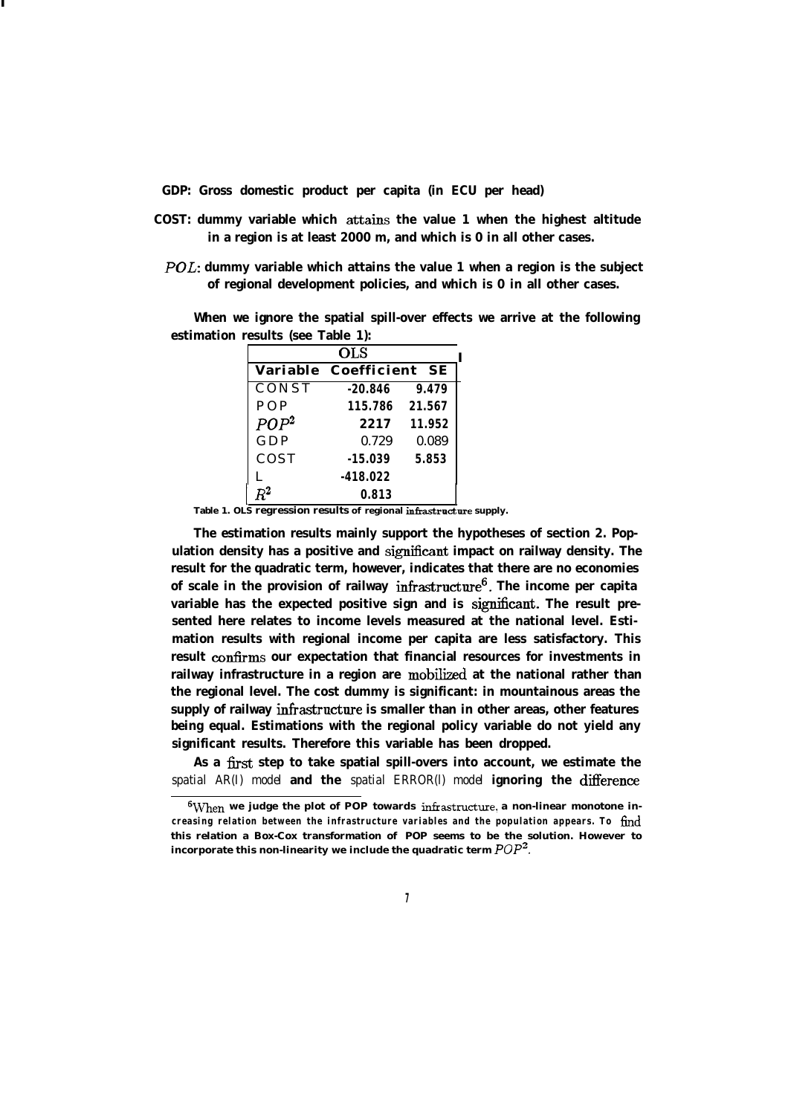- **GDP: Gross domestic product per capita (in ECU per head)**
- **COST: dummy variable which attains the value 1 when the highest altitude in a region is at least 2000 m, and which is 0 in all other cases.**
	- **POL: dummy variable which attains the value 1 when a region is the subject of regional development policies, and which is 0 in all other cases.**

**When we ignore the spatial spill-over effects we arrive at the following estimation results (see Table 1):**

| OLS              |                         |        |  |  |  |
|------------------|-------------------------|--------|--|--|--|
|                  | Variable Coefficient SE |        |  |  |  |
| CONST            | $-20.846$               | 9.479  |  |  |  |
| POP              | 115.786                 | 21.567 |  |  |  |
| POP <sup>2</sup> | 2217                    | 11.952 |  |  |  |
| GDP              | 0.729                   | 0.089  |  |  |  |
| COST             | $-15.039$               | 5.853  |  |  |  |
| I.               | $-418.022$              |        |  |  |  |
| $\mathbb{R}^2$   | 0.813                   |        |  |  |  |

**Table 1. OLS regression results of regional inhstmctnre supply.**

**The estimation results mainly support the hypotheses of section 2. Pop**ulation density has a positive and significant impact on railway density. The **result for the quadratic term, however, indicates that there are no economies of scale in the provision of railway infrastructure6. The income per capita** variable has the expected positive sign and is significant. The result pre**sented here relates to income levels measured at the national level. Estimation results with regional income per capita are less satisfactory. This** result confirms our expectation that financial resources for investments in railway infrastructure in a region are mobilized at the national rather than **the regional level. The cost dummy is significant: in mountainous areas the** supply of railway infrastructure is smaller than in other areas, other features **being equal. Estimations with the regional policy variable do not yield any significant results. Therefore this variable has been dropped.**

**As a first step to take spatial spill-overs into account, we estimate the** *spatial AR(I) model* **and the** *spatial ERROR(l) model* **ignoring the difference**

<sup>&</sup>lt;sup>6</sup>When we judge the plot of POP towards infrastructure, a non-linear monotone in**creasing relation between the infrastructure variables and the population appears. To find this relation a Box-Cox transformation of** *POP* **seems to be the solution. However to incorporate this non-linearity we include the quadratic term** *POP2.*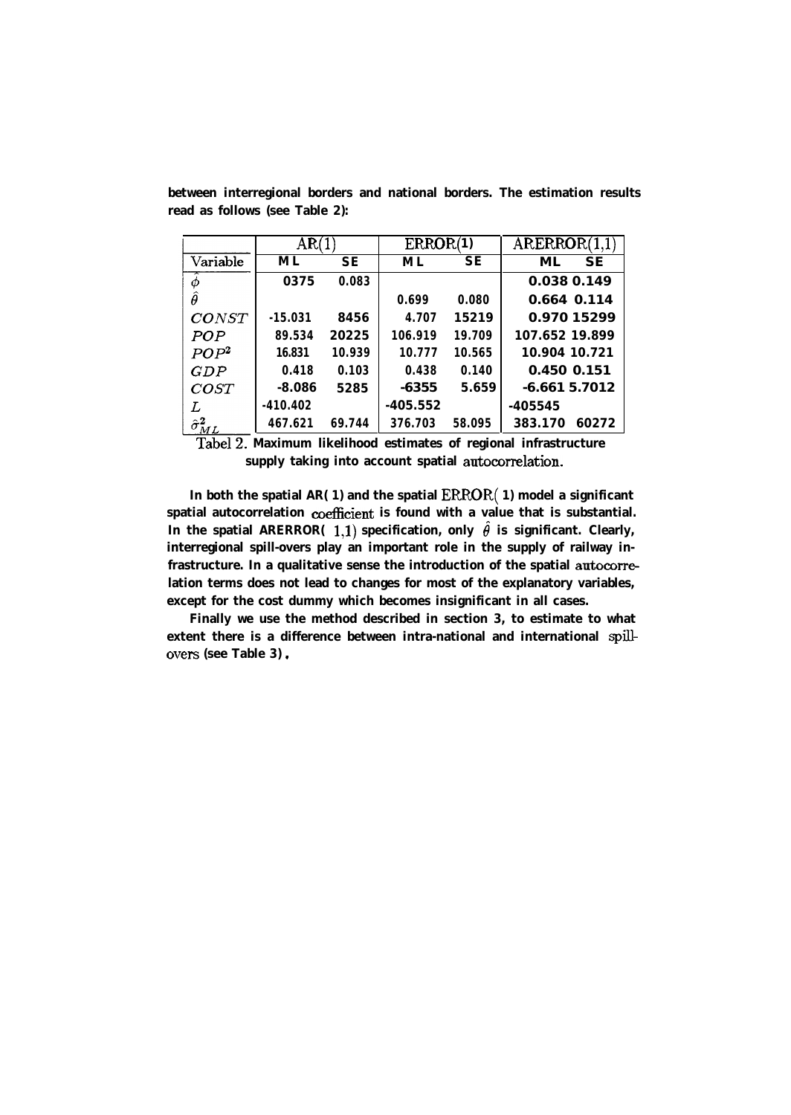|                | AR(        |           | ERROR(1)   |           | $\overline{\text{ARERROR}(1,1)}$ |
|----------------|------------|-----------|------------|-----------|----------------------------------|
| Variable       | M L        | <b>SE</b> | M L        | <b>SE</b> | <b>SE</b><br>ML                  |
|                | 0375       | 0.083     |            |           | 0.038 0.149                      |
| $\hat{\theta}$ |            |           | 0.699      | 0.080     | 0.664 0.114                      |
| <i>CONST</i>   | $-15.031$  | 8456      | 4.707      | 15219     | 0.970 15299                      |
| POP            | 89.534     | 20225     | 106.919    | 19.709    | 107.652 19.899                   |
| $POP^2$        | 16.831     | 10.939    | 10.777     | 10.565    | 10.904 10.721                    |
| GDP            | 0.418      | 0.103     | 0.438      | 0.140     | 0.450 0.151                      |
| COST           | $-8.086$   | 5285      | -6355      | 5.659     | $-6.6615.7012$                   |
| L              | $-410.402$ |           | $-405.552$ |           | $-405545$                        |
|                | 467.621    | 69.744    | 376.703    | 58.095    | 383.170<br>60272                 |

**between interregional borders and national borders. The estimation results read as follows (see Table 2):**

**Tabel2. Maximum likelihood estimates of regional infrastructure supply taking into account spatial autocorrelation.**

**In both the spatial AR( 1) and the spatial ERROR( 1) model a significant spatial autocorrelation coefhcient is found with a value that is substantial.** In the spatial ARERROR( 1,1) specification, only  $\hat{\theta}$  is significant. Clearly, **interregional spill-overs play an important role in the supply of railway infrastructure. In a qualitative sense the introduction of the spatial autocorre lation terms does not lead to changes for most of the explanatory variables, except for the cost dummy which becomes insignificant in all cases.**

**Finally we use the method described in section 3, to estimate to what extent there is a difference between intra-national and international spillovers** (see Table 3).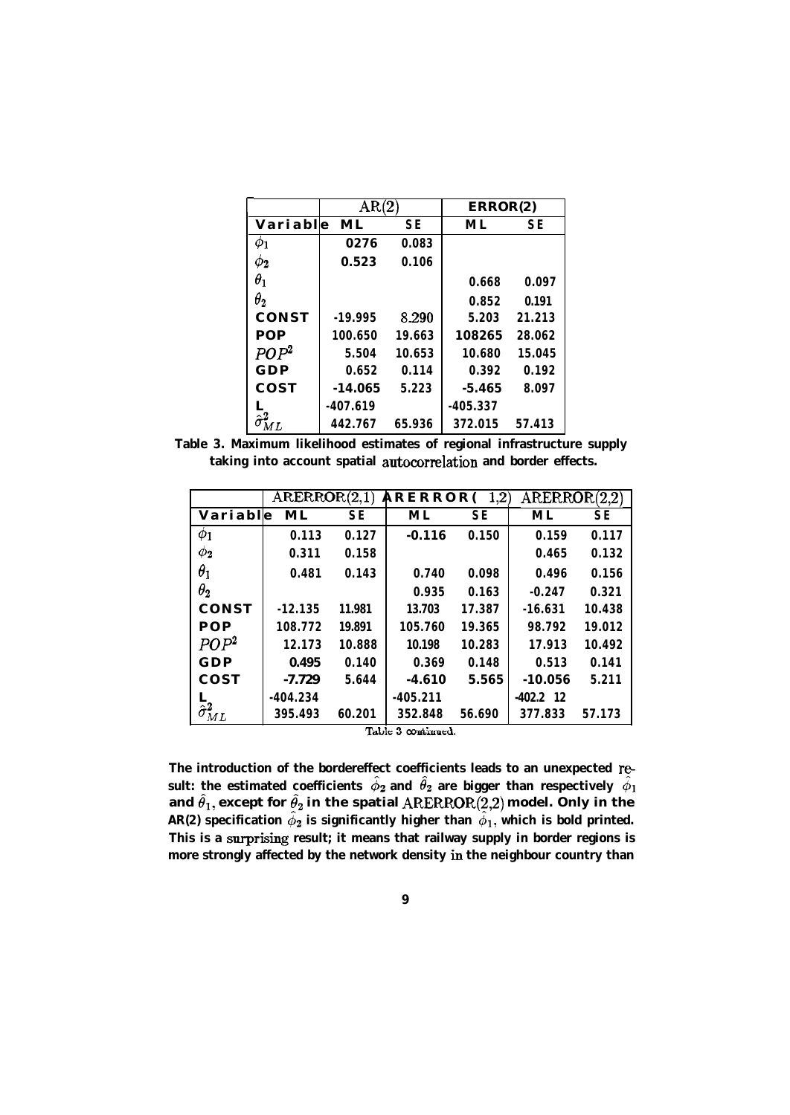|                  | AR         |        | ERROR(2)   |        |  |
|------------------|------------|--------|------------|--------|--|
| Variable         | МL         | S E    | M L        | S E    |  |
| $\varphi_1$      | 0276       | 0.083  |            |        |  |
| $\varphi_2$      | 0.523      | 0.106  |            |        |  |
| $\theta_1$       |            |        | 0.668      | 0.097  |  |
| $\theta_2$       |            |        | 0.852      | 0.191  |  |
| <b>CONST</b>     | $-19.995$  | 8.290  | 5.203      | 21.213 |  |
| <b>POP</b>       | 100.650    | 19.663 | 108265     | 28.062 |  |
| POP <sup>2</sup> | 5.504      | 10.653 | 10.680     | 15.045 |  |
| <b>GDP</b>       | 0.652      | 0.114  | 0.392      | 0.192  |  |
| <b>COST</b>      | $-14.065$  | 5.223  | $-5.465$   | 8.097  |  |
|                  | $-407.619$ |        | $-405.337$ |        |  |
|                  | 442.767    | 65.936 | 372.015    | 57.413 |  |

**Table 3. Maximum likelihood estimates of regional infrastructure supply taking into account spatial autocorrelation and border effects.**

|                                                                           | $\overline{\text{ARER}}$ ROR $(2,1)$ |        | <b>ARERROR</b> ( | (1,2)  | AREROR(2,2) |        |
|---------------------------------------------------------------------------|--------------------------------------|--------|------------------|--------|-------------|--------|
| Variable                                                                  | M L                                  | S E    | M L              | S E    | M L         | SE.    |
| $\phi_1$                                                                  | 0.113                                | 0.127  | $-0.116$         | 0.150  | 0.159       | 0.117  |
| $\phi_2$                                                                  | 0.311                                | 0.158  |                  |        | 0.465       | 0.132  |
| $\theta_1$                                                                | 0.481                                | 0.143  | 0.740            | 0.098  | 0.496       | 0.156  |
| $\theta_2$                                                                |                                      |        | 0.935            | 0.163  | $-0.247$    | 0.321  |
| <b>CONST</b>                                                              | $-12.135$                            | 11.981 | 13.703           | 17.387 | $-16.631$   | 10.438 |
| <b>POP</b>                                                                | 108.772                              | 19.891 | 105.760          | 19.365 | 98.792      | 19.012 |
| POP <sup>2</sup>                                                          | 12.173                               | 10.888 | 10.198           | 10.283 | 17.913      | 10.492 |
| <b>GDP</b>                                                                | 0.495                                | 0.140  | 0.369            | 0.148  | 0.513       | 0.141  |
| <b>COST</b>                                                               | -7.729                               | 5.644  | $-4.610$         | 5.565  | $-10.056$   | 5.211  |
|                                                                           | $-404.234$                           |        | $-405.211$       |        | $-402.2$ 12 |        |
| $\begin{array}{c} \n\cdot \mathbf{L} \\ \hat{\sigma}_{ML}^2\n\end{array}$ | 395.493                              | 60.201 | 352.848          | 56.690 | 377.833     | 57.173 |

Table 3 communed.

**The introduction of the bordereffect coefficients leads to an unexpected re**sult: the estimated coefficients  $\hat{\phi}_2$  and  $\hat{\theta}_2$  are bigger than respectively  $\hat{\phi}_1$ and  $\hat{\theta}_1$ , except for  $\hat{\theta}_2$  in the spatial ARERROR(2,2) model. Only in the AR(2) specification  $\hat{\phi}_2$  is significantly higher than  $\hat{\phi}_1$ , which is bold printed. This is a surprising result; it means that railway supply in border regions is **more strongly affected by the network density in the neighbour country than**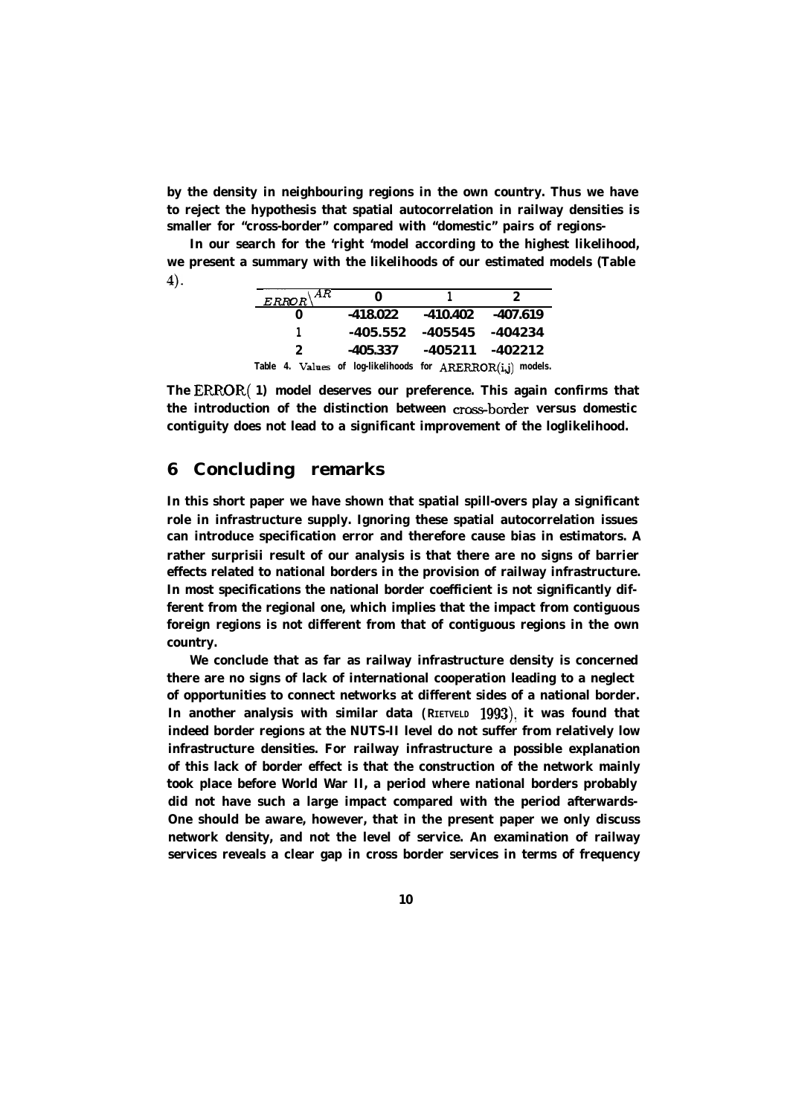**by the density in neighbouring regions in the own country. Thus we have to reject the hypothesis that spatial autocorrelation in railway densities is smaller for "cross-border" compared with "domestic" pairs of regions-**

**In our search for the 'right 'model according to the highest likelihood, we present a summary with the likelihoods of our estimated models (Table 4).**

| $ERROR^{\setminus \overline{AR}}$                           | 0                              |          | 2        |
|-------------------------------------------------------------|--------------------------------|----------|----------|
| 0                                                           | $-418.022$                     | -410.402 | -407.619 |
| 1                                                           | $-405.552$ $-405545$ $-404234$ |          |          |
| 2                                                           | $-405.337 - 405211 - 402212$   |          |          |
| Table 4. Values of log-likelihoods for ARERROR(i,j) models. |                                |          |          |

**The ERROR( 1) model deserves our preference. This again confirms that the introduction of the distinction between crossborder versus domestic contiguity does not lead to a significant improvement of the loglikelihood.**

### **6 Concluding remarks**

**In this short paper we have shown that spatial spill-overs play a significant role in infrastructure supply. Ignoring these spatial autocorrelation issues can introduce specification error and therefore cause bias in estimators. A rather surprisii result of our analysis is that there are no signs of barrier effects related to national borders in the provision of railway infrastructure. In most specifications the national border coefficient is not significantly different from the regional one, which implies that the impact from contiguous foreign regions is not different from that of contiguous regions in the own country.**

**We conclude that as far as railway infrastructure density is concerned there are no signs of lack of international cooperation leading to a neglect of opportunities to connect networks at different sides of a national border.** In another analysis with similar data (RIETVELD 1993), it was found that **indeed border regions at the NUTS-II level do not suffer from relatively low infrastructure densities. For railway infrastructure a possible explanation of this lack of border effect is that the construction of the network mainly took place before World War II, a period where national borders probably did not have such a large impact compared with the period afterwards-One should be aware, however, that in the present paper we only discuss network density, and not the level of service. An examination of railway services reveals a clear gap in cross border services in terms of frequency**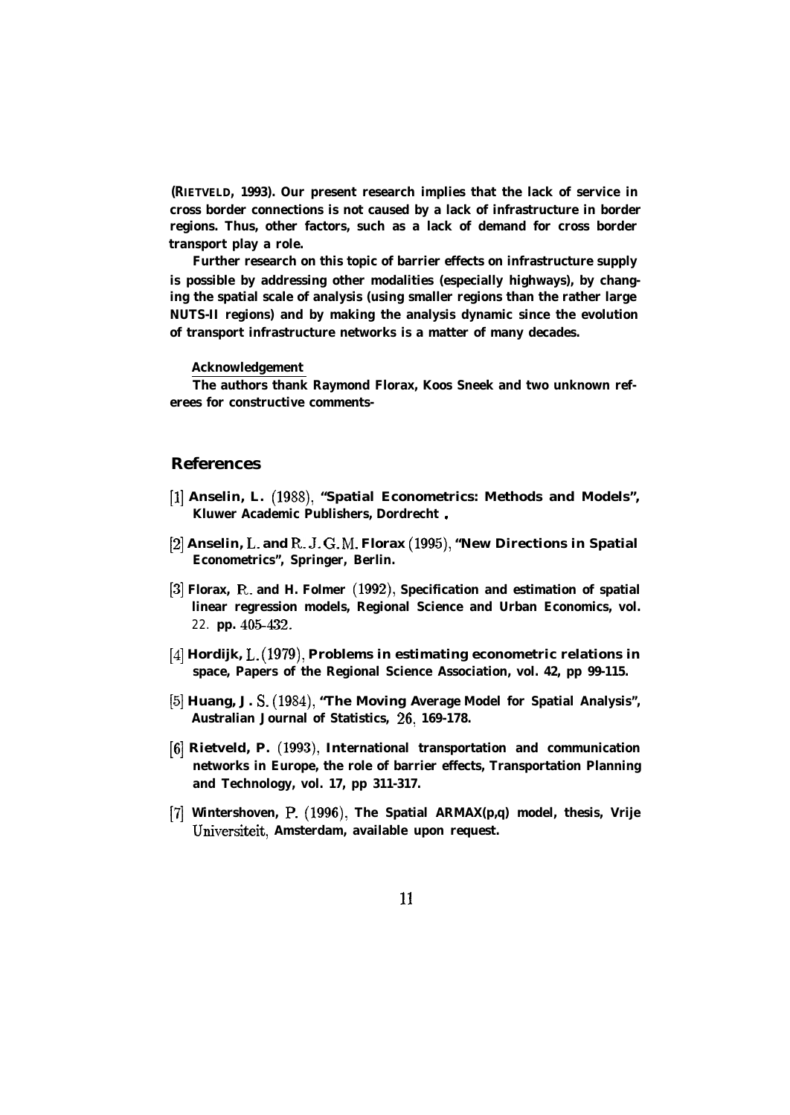**(RIETVELD, 1993). Our present research implies that the lack of service in cross border connections is not caused by a lack of infrastructure in border regions. Thus, other factors, such as a lack of demand for cross border transport play a role.**

**Further research on this topic of barrier effects on infrastructure supply is possible by addressing other modalities (especially highways), by changing the spatial scale of analysis (using smaller regions than the rather large NUTS-II regions) and by making the analysis dynamic since the evolution of transport infrastructure networks is a matter of many decades.**

#### **Acknowledgement**

**The authors thank Raymond Florax, Koos Sneek and two unknown referees for constructive comments-**

#### **References**

- **[I] Anselin, L. (1988), "Spatial Econometrics: Methods and Models", Kluwer Academic Publishers, Dordrecht \_**
- **[2] Anselin, L. and** R. **J. G. M. Florax (1995), "New Directions in Spatial Econometrics", Springer, Berlin.**
- **[3] Florax, R. and H. Folmer (1992), Specification and estimation of spatial linear regression models, Regional Science and Urban Economics, vol.** 22. **pp. 405-432.**
- **[4] Hordijk, L. (1979), Problems in estimating econometric relations in space, Papers of the Regional Science Association, vol. 42, pp 99-115.**
- **[5] Huang, J. S. (1984), "The Moving Average Model for Spatial Analysis", Australian Journal of Statistics, 26: 169-178.**
- **[6] Rietveld, P. (1993), International transportation and communication networks in Europe, the role of barrier effects, Transportation Planning and Technology, vol. 17, pp 311-317.**
- **[7] Wintershoven, P. (1996), The Spatial ARMAX(p,q) model, thesis, Vrije Universiteit, Amsterdam, available upon request.**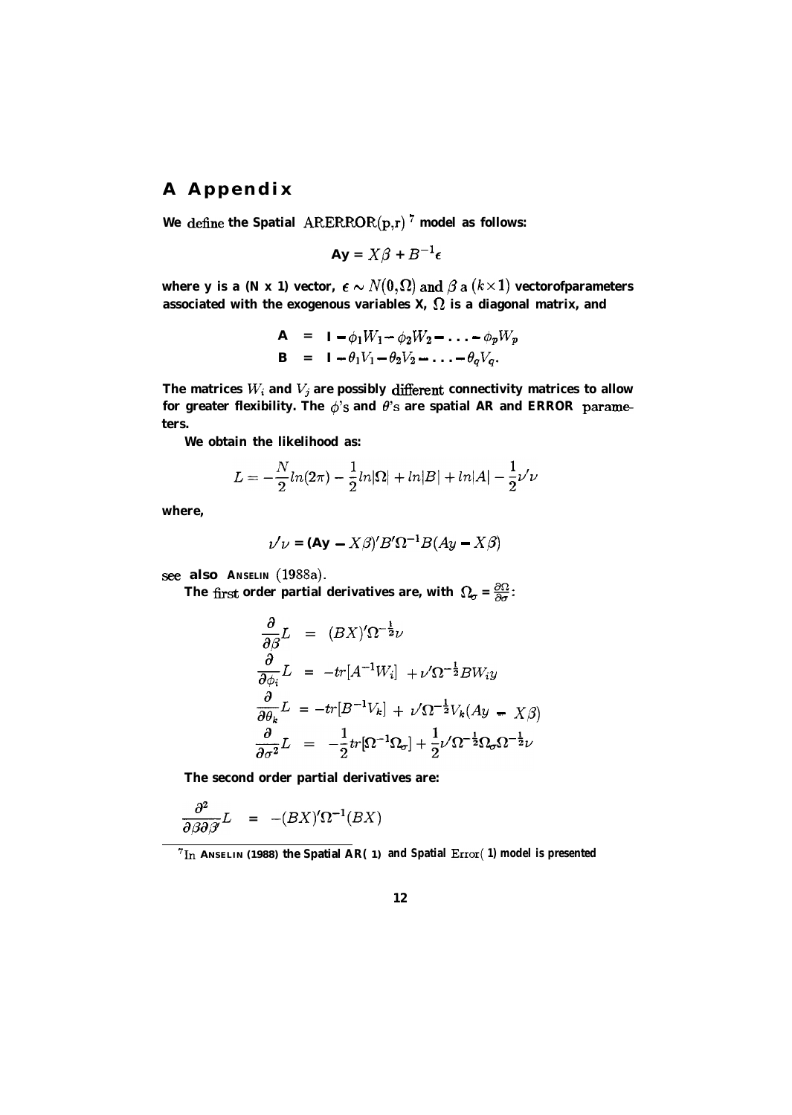# A Appendix

We define the Spatial ARERROR $(p,r)$ <sup>7</sup> model as follows:

$$
Ay = X\beta + B^{-1}\epsilon
$$

where y is a (N x 1) vector,  $\epsilon \sim N(0,\Omega)$  and  $\beta$  a  $(k \times 1)$  vector of parameters associated with the exogenous variables X,  $\Omega$  is a diagonal matrix, and

$$
\mathbf{A} = \mathbf{I} - \phi_1 W_1 - \phi_2 W_2 - \ldots - \phi_p W_p
$$
  

$$
\mathbf{B} = \mathbf{I} - \theta_1 V_1 - \theta_2 V_2 - \ldots - \theta_q V_q.
$$

The matrices  $W_i$  and  $V_j$  are possibly different connectivity matrices to allow for greater flexibility. The  $\phi$ 's and  $\theta$ 's are spatial AR and ERROR parameters.

We obtain the likelihood as:

$$
L = -\frac{N}{2}ln(2\pi) - \frac{1}{2}ln|\Omega| + ln|B| + ln|A| - \frac{1}{2}\nu'\nu
$$

where,

$$
v'v = (Ay - X\beta)'B'\Omega^{-1}B(Ay - X\beta)
$$

see also ANSELIN (1988a).

The first order partial derivatives are, with  $\Omega_{\sigma} = \frac{\partial \Omega}{\partial \sigma}$ :

$$
\frac{\partial}{\partial \beta} L = (BX)^{\prime} \Omega^{-\frac{1}{2}} \nu
$$
\n
$$
\frac{\partial}{\partial \phi_i} L = -tr[A^{-1}W_i] + \nu^{\prime} \Omega^{-\frac{1}{2}} BW_i y
$$
\n
$$
\frac{\partial}{\partial \theta_k} L = -tr[B^{-1}V_k] + \nu^{\prime} \Omega^{-\frac{1}{2}} V_k (Ay - X\beta)
$$
\n
$$
\frac{\partial}{\partial \sigma^2} L = -\frac{1}{2} tr[\Omega^{-1} \Omega_{\sigma}] + \frac{1}{2} \nu^{\prime} \Omega^{-\frac{1}{2}} \Omega_{\sigma} \Omega^{-\frac{1}{2}} \nu
$$

The second order partial derivatives are:

$$
\frac{\partial^2}{\partial \beta \partial \beta^2} L = -(BX)^{\prime} \Omega^{-1} (BX)
$$

 $7\text{In}$  ANSELIN (1988) the Spatial AR(1) and Spatial Error(1) model is presented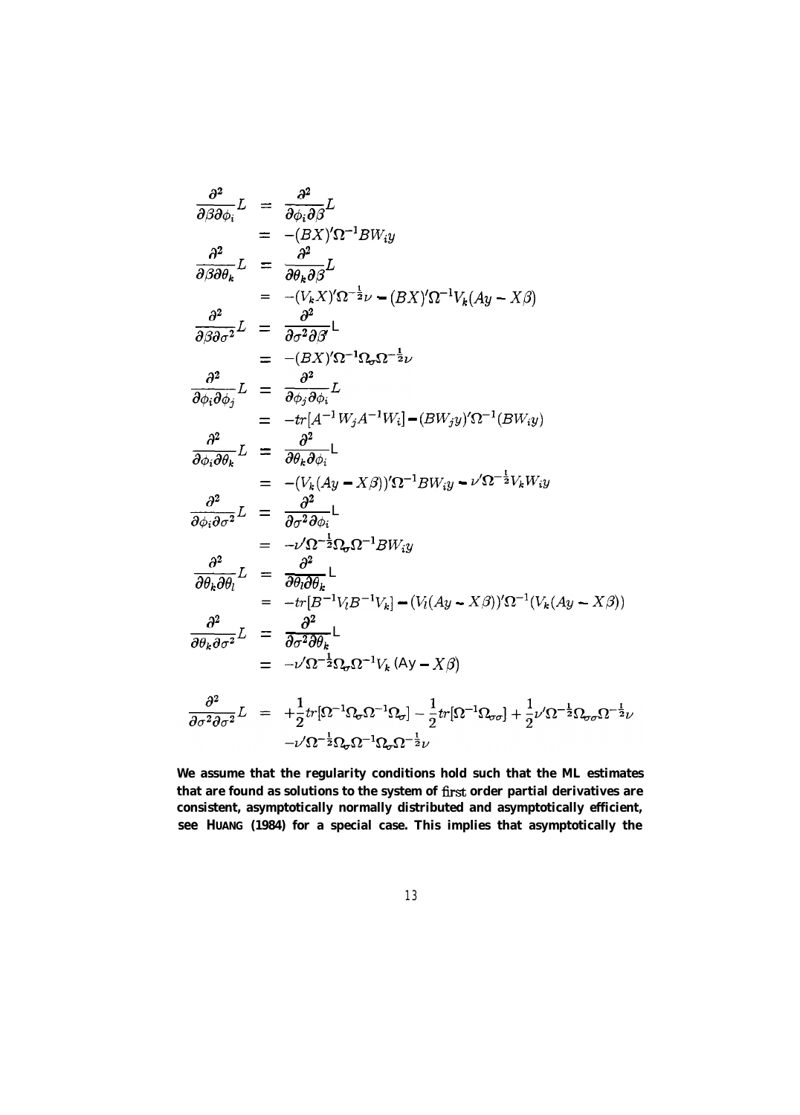$$
\frac{\partial^2}{\partial \beta \partial \phi_i} L = \frac{\partial^2}{\partial \phi_i \partial \beta} L
$$
\n
$$
= -(BX)' \Omega^{-1} BW_{i}y
$$
\n
$$
\frac{\partial^2}{\partial \beta \partial \theta_k} L = \frac{\partial^2}{\partial \theta_k \partial \beta} L
$$
\n
$$
= -(V_k X)' \Omega^{-\frac{1}{2}} \nu - (BX)' \Omega^{-1} V_k (Ay - X\beta)
$$
\n
$$
\frac{\partial^2}{\partial \beta \partial \sigma^2} L = \frac{\partial^2}{\partial \sigma^2 \partial \beta} L
$$
\n
$$
= -(BX)' \Omega^{-1} \Omega_{\sigma} \Omega^{-\frac{1}{2}} \nu
$$
\n
$$
\frac{\partial^2}{\partial \phi_i \partial \phi_j} L = \frac{\partial^2}{\partial \phi_j \partial \phi_i} L
$$
\n
$$
= -tr[A^{-1} W_j A^{-1} W_i] - (BW_j y)' \Omega^{-1} (BW_{i}y)
$$
\n
$$
\frac{\partial^2}{\partial \phi_i \partial \theta_k} L = \frac{\partial^2}{\partial \theta_k \partial \phi_i} L
$$
\n
$$
= -(V_k (Ay - X\beta))' \Omega^{-1} BW_{i}y - \nu' \Omega^{-\frac{1}{2}} V_k W_{i}y
$$
\n
$$
\frac{\partial^2}{\partial \phi_i \partial \sigma^2} L = \frac{\partial^2}{\partial \sigma^2 \partial \phi_i} L
$$
\n
$$
= -\nu' \Omega^{-\frac{1}{2}} \Omega_{\sigma} \Omega^{-1} BW_{i}y
$$
\n
$$
\frac{\partial^2}{\partial \theta_k \partial \theta_l} L = \frac{\partial^2}{\partial \theta_l \partial \theta_k} L
$$
\n
$$
= -tr[B^{-1} V_i B^{-1} V_k] - (V_l (Ay - X\beta))' \Omega^{-1} (V_k (Ay - X\beta))
$$
\n
$$
\frac{\partial^2}{\partial \theta_k \partial \sigma^2} L = \frac{\partial^2}{\partial \sigma^2 \partial \theta_k} L
$$
\n
$$
= -\nu' \Omega^{-\frac{1}{2}} \Omega_{\sigma} \Omega^{-1} V_k (Ay - X\beta)
$$
\n
$$
\frac{\partial^2}{\partial \sigma^2 \partial \sigma^2} L = +\frac{1}{2} tr[\Omega^{-1}
$$

We assume that the regularity conditions hold such that the ML estimates that are found as solutions to the system of first order partial derivatives are consistent, asymptotically normally distributed and asymptotically efficient, see HUANG (1984) for a special case. This implies that asymptotically the

13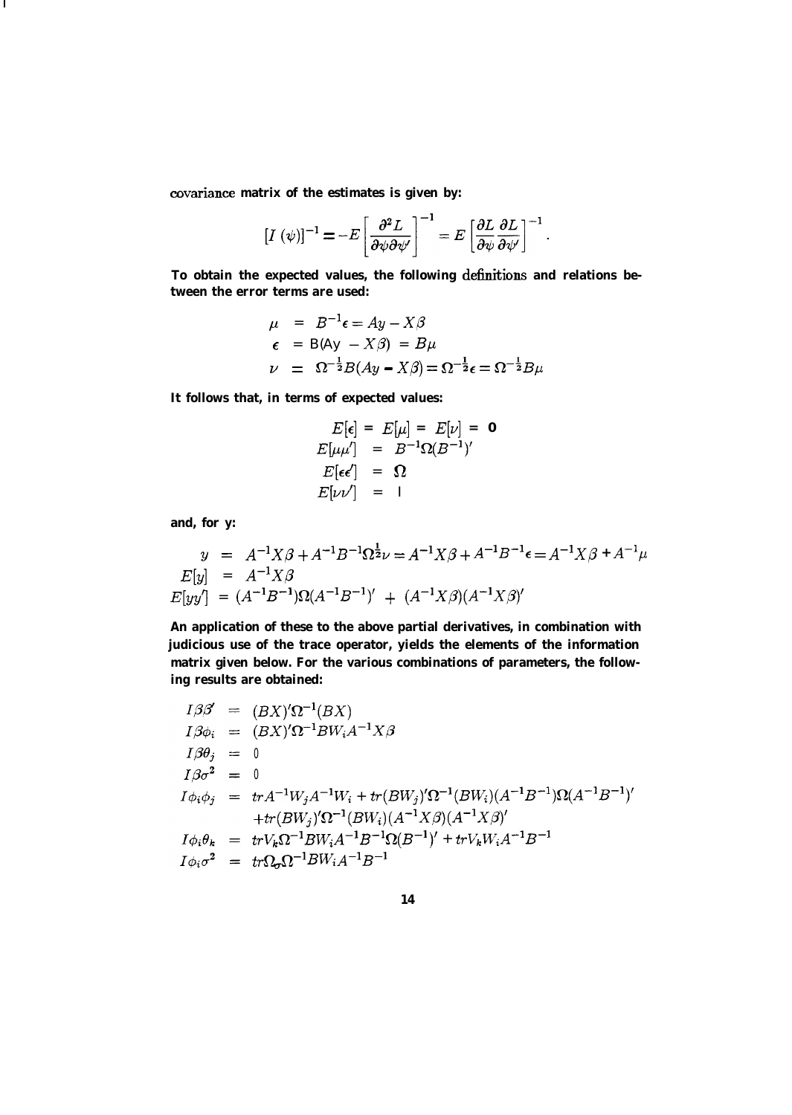**covariance matrix of the estimates is given by:**

$$
[I(\psi)]^{-1} = -E \left[ \frac{\partial^2 L}{\partial \psi \partial \psi'} \right]^{-1} = E \left[ \frac{\partial L}{\partial \psi} \frac{\partial L}{\partial \psi'} \right]^{-1}.
$$

To obtain the expected values, the following definitions and relations be**tween the error terms are used:**

$$
\mu = B^{-1} \epsilon = Ay - X\beta
$$
  
\n
$$
\epsilon = B(Ay - X\beta) = B\mu
$$
  
\n
$$
\nu = \Omega^{-\frac{1}{2}}B(Ay - X\beta) = \Omega^{-\frac{1}{2}}\epsilon = \Omega^{-\frac{1}{2}}B\mu
$$

**It follows that, in terms of expected values:**

$$
E[\epsilon] = E[\mu] = E[\nu] = 0
$$
  
\n
$$
E[\mu\mu'] = B^{-1}\Omega(B^{-1})'
$$
  
\n
$$
E[\epsilon\epsilon'] = \Omega
$$
  
\n
$$
E[\nu\nu'] = I
$$

**and, for y:**

 $\mathbf{I}$ 

$$
y = A^{-1}X\beta + A^{-1}B^{-1}\Omega^{\frac{1}{2}}\nu = A^{-1}X\beta + A^{-1}B^{-1}\epsilon = A^{-1}X\beta + A^{-1}\mu
$$
  
\n
$$
E[y] = A^{-1}X\beta
$$
  
\n
$$
E[yy'] = (A^{-1}B^{-1})\Omega(A^{-1}B^{-1})' + (A^{-1}X\beta)(A^{-1}X\beta)'
$$

**An application of these to the above partial derivatives, in combination with judicious use of the trace operator, yields the elements of the information matrix given below. For the various combinations of parameters, the following results are obtained:**

$$
I\beta\beta' = (BX)' \Omega^{-1}(BX)
$$
  
\n
$$
I\beta\phi_i = (BX)' \Omega^{-1}BW_iA^{-1}X\beta
$$
  
\n
$$
I\beta\theta_j = 0
$$
  
\n
$$
I\beta\sigma^2 = 0
$$
  
\n
$$
I\phi_i\phi_j = trA^{-1}W_jA^{-1}W_i + tr(BW_j)'\Omega^{-1}(BW_i)(A^{-1}B^{-1})\Omega(A^{-1}B^{-1})'
$$
  
\n
$$
+tr(BW_j)'\Omega^{-1}(BW_i)(A^{-1}X\beta)(A^{-1}X\beta)'
$$
  
\n
$$
I\phi_i\theta_k = trV_k\Omega^{-1}BW_iA^{-1}B^{-1}\Omega(B^{-1})' + trV_kW_iA^{-1}B^{-1}
$$
  
\n
$$
I\phi_i\sigma^2 = tr\Omega_{\sigma}\Omega^{-1}BW_iA^{-1}B^{-1}
$$